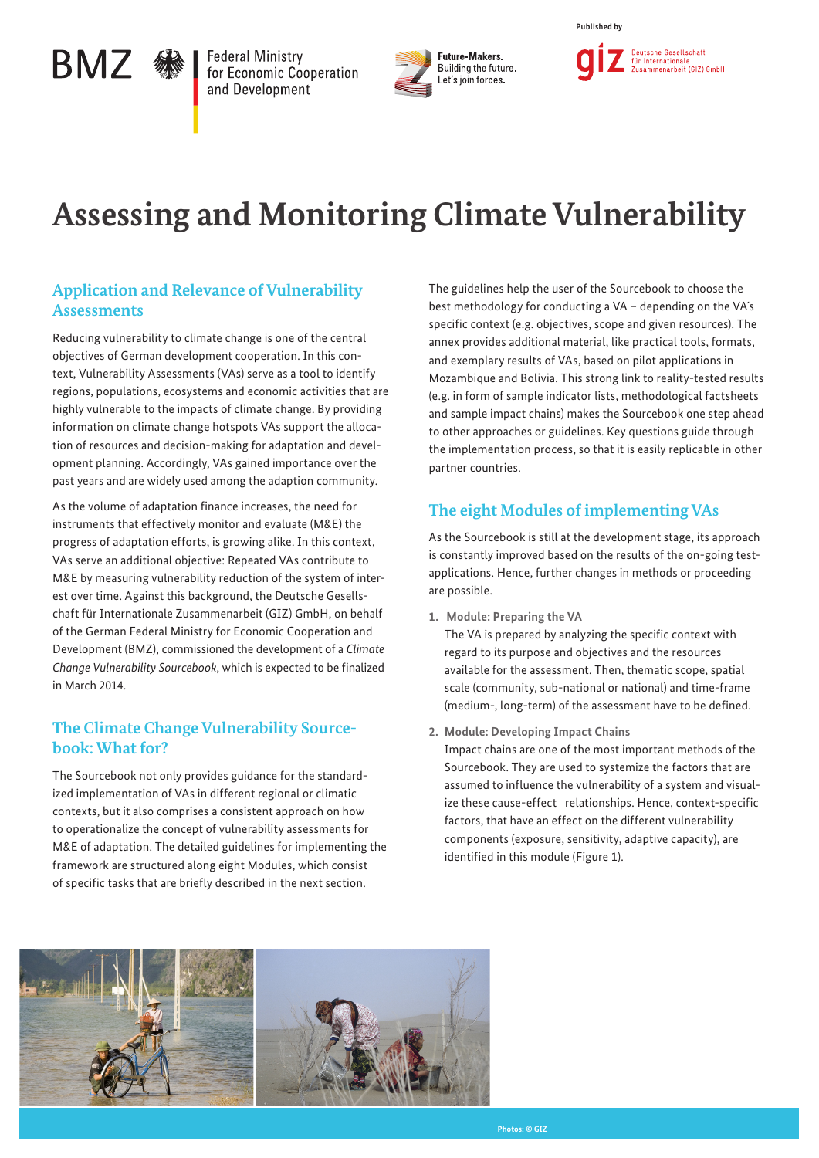# BMZ · 黎

**Federal Ministry** for Economic Cooperation and Development



**Published by**



# **Assessing and Monitoring Climate Vulnerability**

## **Application and Relevance of Vulnerability Assessments**

Reducing vulnerability to climate change is one of the central objectives of German development cooperation. In this context, Vulnerability Assessments (VAs) serve as a tool to identify regions, populations, ecosystems and economic activities that are highly vulnerable to the impacts of climate change. By providing information on climate change hotspots VAs support the allocation of resources and decision-making for adaptation and development planning. Accordingly, VAs gained importance over the past years and are widely used among the adaption community.

As the volume of adaptation finance increases, the need for instruments that effectively monitor and evaluate (M&E) the progress of adaptation efforts, is growing alike. In this context, VAs serve an additional objective: Repeated VAs contribute to M&E by measuring vulnerability reduction of the system of interest over time. Against this background, the Deutsche Gesellschaft für Internationale Zusammenarbeit (GIZ) GmbH, on behalf of the German Federal Ministry for Economic Cooperation and Development (BMZ), commissioned the development of a *Climate Change Vulnerability Sourcebook*, which is expected to be finalized in March 2014.

### **The Climate Change Vulnerability Sourcebook: What for?**

The Sourcebook not only provides guidance for the standardized implementation of VAs in different regional or climatic contexts, but it also comprises a consistent approach on how to operationalize the concept of vulnerability assessments for M&E of adaptation. The detailed guidelines for implementing the framework are structured along eight Modules, which consist of specific tasks that are briefly described in the next section.

The guidelines help the user of the Sourcebook to choose the best methodology for conducting a VA – depending on the VA´s specific context (e.g. objectives, scope and given resources). The annex provides additional material, like practical tools, formats, and exemplary results of VAs, based on pilot applications in Mozambique and Bolivia. This strong link to reality-tested results (e.g. in form of sample indicator lists, methodological factsheets and sample impact chains) makes the Sourcebook one step ahead to other approaches or guidelines. Key questions guide through the implementation process, so that it is easily replicable in other partner countries.

# **The eight Modules of implementing VAs**

As the Sourcebook is still at the development stage, its approach is constantly improved based on the results of the on-going testapplications. Hence, further changes in methods or proceeding are possible.

**1. Module: Preparing the VA**

The VA is prepared by analyzing the specific context with regard to its purpose and objectives and the resources available for the assessment. Then, thematic scope, spatial scale (community, sub-national or national) and time-frame (medium-, long-term) of the assessment have to be defined.

**2. Module: Developing Impact Chains** 

Impact chains are one of the most important methods of the Sourcebook. They are used to systemize the factors that are assumed to influence the vulnerability of a system and visualize these cause-effect relationships. Hence, context-specific factors, that have an effect on the different vulnerability components (exposure, sensitivity, adaptive capacity), are identified in this module (Figure 1).